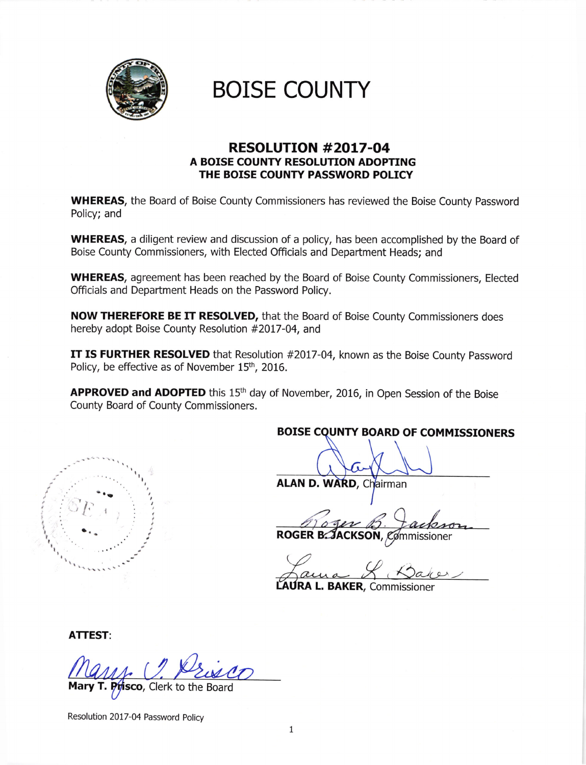

# **BOISE COUNTY**

### RESOLUTION #2OL7-O4 A BOISE COUNTY RESOLUTION ADOPTING THE BOISE COUNTY PASSWORD POLICY

WHEREAS, the Board of Boise County Commissioners has reviewed the Boise County Password Policy; and

WHEREAS, a diligent review and discussion of a policy, has been accomplished by the Board of Boise County Commissioners, with Elected Officials and Department Heads; and

WHEREAS, agreement has been reached by the Board of Boise County Commissioners, Elected Officials and Department Heads on the Password Policy.

NOW THEREFORE BE IT RESOLVED, that the Board of Boise County Commissioners does hereby adopt Boise County Resolution #2017-04, and

IT IS FURTHER RESOLVED that Resolution #2017-04, known as the Boise County Password Policy, be effective as of November 15<sup>th</sup>, 2016.

APPROVED and ADOPTED this 15<sup>th</sup> day of November, 2016, in Open Session of the Boise County Board of County Commissioners.

BOISE COUNTY BOARD OF COMMISSIONERS

 $\mathbf{r}$  is the set of  $\mathbf{r}$ i" I I I I I l I t t! t, I I ,  $\ell'$ a.

## ALAN D. WARD, Chairman

ROGER B: JACKSON, Commissioner

LAURA L. BAKER, Commissioner

ATTEST:

*if*isco, Clerk to the Board

Resolution 20t7-04 Password Poliry